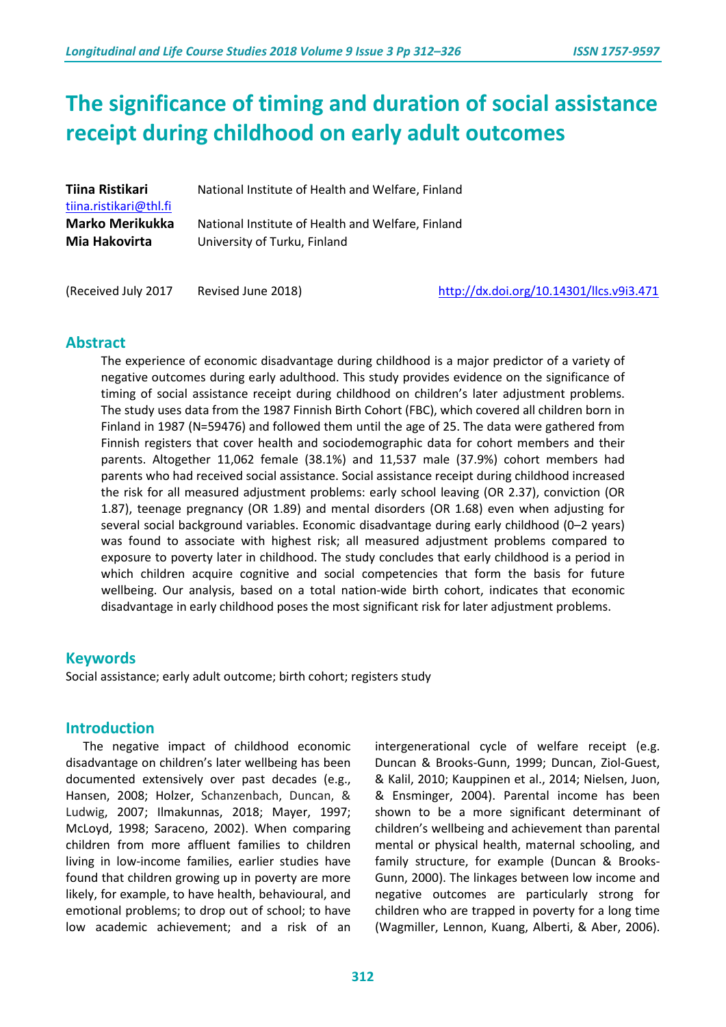# **The significance of timing and duration of social assistance receipt during childhood on early adult outcomes**

| Tiina Ristikari<br>tiina.ristikari@thl.fi | National Institute of Health and Welfare, Finland |
|-------------------------------------------|---------------------------------------------------|
| <b>Marko Merikukka</b>                    | National Institute of Health and Welfare, Finland |
| Mia Hakovirta                             | University of Turku, Finland                      |

(Received July 2017 Revised June 2018) <http://dx.doi.org/10.14301/llcs.v9i3.471>

## **Abstract**

The experience of economic disadvantage during childhood is a major predictor of a variety of negative outcomes during early adulthood. This study provides evidence on the significance of timing of social assistance receipt during childhood on children's later adjustment problems. The study uses data from the 1987 Finnish Birth Cohort (FBC), which covered all children born in Finland in 1987 (N=59476) and followed them until the age of 25. The data were gathered from Finnish registers that cover health and sociodemographic data for cohort members and their parents. Altogether 11,062 female (38.1%) and 11,537 male (37.9%) cohort members had parents who had received social assistance. Social assistance receipt during childhood increased the risk for all measured adjustment problems: early school leaving (OR 2.37), conviction (OR 1.87), teenage pregnancy (OR 1.89) and mental disorders (OR 1.68) even when adjusting for several social background variables. Economic disadvantage during early childhood (0–2 years) was found to associate with highest risk; all measured adjustment problems compared to exposure to poverty later in childhood. The study concludes that early childhood is a period in which children acquire cognitive and social competencies that form the basis for future wellbeing. Our analysis, based on a total nation-wide birth cohort, indicates that economic disadvantage in early childhood poses the most significant risk for later adjustment problems.

# **Keywords**

Social assistance; early adult outcome; birth cohort; registers study

## **Introduction**

The negative impact of childhood economic disadvantage on children's later wellbeing has been documented extensively over past decades (e.g., Hansen, 2008; Holzer, Schanzenbach, Duncan, & Ludwig, 2007; Ilmakunnas, 2018; Mayer, 1997; McLoyd, 1998; Saraceno, 2002). When comparing children from more affluent families to children living in low-income families, earlier studies have found that children growing up in poverty are more likely, for example, to have health, behavioural, and emotional problems; to drop out of school; to have low academic achievement; and a risk of an

intergenerational cycle of welfare receipt (e.g. [Duncan & Brooks-Gunn, 1999;](https://www.russellsage.org/publications/consequences-growing-poor-1) [Duncan, Ziol-Guest,](http://onlinelibrary.wiley.com/doi/10.1111/j.1467-8624.2009.01396.x/abstract) & [Kalil, 2010;](http://onlinelibrary.wiley.com/doi/10.1111/j.1467-8624.2009.01396.x/abstract) [Kauppinen et](http://journals.sagepub.com/doi/abs/10.1177/0958928714525818) al., 2014; [Nielsen, Juon,](http://www.sciencedirect.com/science/article/pii/S0277953604001248?via%3Dihub) [& Ensminger, 2004\)](http://www.sciencedirect.com/science/article/pii/S0277953604001248?via%3Dihub). Parental income has been shown to be a more significant determinant of children's wellbeing and achievement than parental mental or physical health, maternal schooling, and family structure, for example [\(Duncan & Brooks-](http://onlinelibrary.wiley.com/doi/10.1111/1467-8624.00133/full)[Gunn, 2000\)](http://onlinelibrary.wiley.com/doi/10.1111/1467-8624.00133/full). The linkages between low income and negative outcomes are particularly strong for children who are trapped in poverty for a long time (Wagmiller, Lennon, Kuang, Alberti, & Aber, 2006).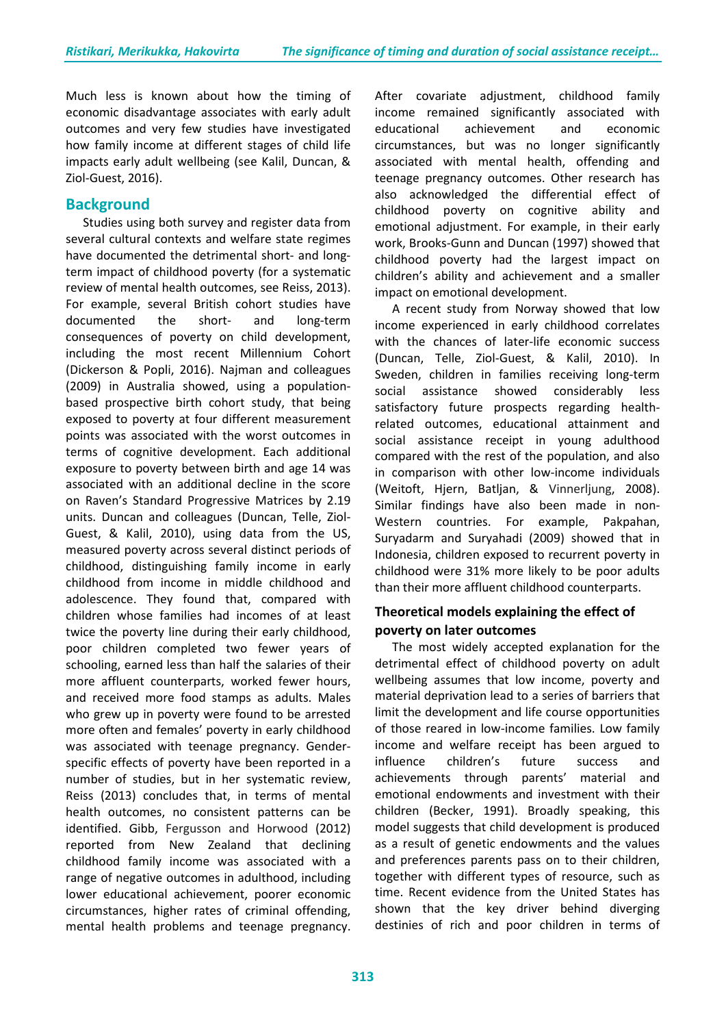Much less is known about how the timing of economic disadvantage associates with early adult outcomes and very few studies have investigated how family income at different stages of child life impacts early adult wellbeing (see [Kalil, Duncan,](http://www.springer.com/gp/book/9780306474989) & [Ziol-Guest,](http://www.springer.com/gp/book/9780306474989) 2016).

# **Background**

Studies using both survey and register data from several cultural contexts and welfare state regimes have documented the detrimental short- and longterm impact of childhood poverty (for a systematic review of mental health outcomes, see Reiss, 2013). For example, several British cohort studies have documented the short- and long-term consequences of poverty on child development, including the most recent Millennium Cohort (Dickerson & Popli, 2016). Najman and colleagues (2009) in Australia showed, using a populationbased prospective birth cohort study, that being exposed to poverty at four different measurement points was associated with the worst outcomes in terms of cognitive development. Each additional exposure to poverty between birth and age 14 was associated with an additional decline in the score on Raven's Standard Progressive Matrices by 2.19 units. [Duncan and](http://onlinelibrary.wiley.com/doi/10.1111/j.1467-8624.2009.01396.x/abstract) colleagues (Duncan, Telle, Ziol-Guest, & Kalil, 2010), using data from the US, measured poverty across several distinct periods of childhood, distinguishing family income in early childhood from income in middle childhood and adolescence. They found that, compared with children whose families had incomes of at least twice the poverty line during their early childhood, poor children completed two fewer years of schooling, earned less than half the salaries of their more affluent counterparts, worked fewer hours, and received more food stamps as adults. Males who grew up in poverty were found to be arrested more often and females' poverty in early childhood was associated with teenage pregnancy. Genderspecific effects of poverty have been reported in a number of studies, but in her systematic review, Reiss (2013) concludes that, in terms of mental health outcomes, no consistent patterns can be identified. [Gibb, Fergusson and Horwood](http://www.sciencedirect.com/science/article/pii/S027795361200202X) (2012) reported from New Zealand that declining childhood family income was associated with a range of negative outcomes in adulthood, including lower educational achievement, poorer economic circumstances, higher rates of criminal offending, mental health problems and teenage pregnancy.

After covariate adjustment, childhood family income remained significantly associated with educational achievement and economic circumstances, but was no longer significantly associated with mental health, offending and teenage pregnancy outcomes. Other research has also acknowledged the differential effect of childhood poverty on cognitive ability and emotional adjustment. For example, in their early work, Brooks-Gunn and Duncan (1997) showed that childhood poverty had the largest impact on children's ability and achievement and a smaller impact on emotional development.

A recent study from Norway showed that low income experienced in early childhood correlates with the chances of later-life economic success [\(Duncan, Telle, Ziol-Guest,](https://www.russellsage.org/publications/persistence-privilege-and-parenting) & Kalil, 2010). In Sweden, children in families receiving long-term social assistance showed considerably less satisfactory future prospects regarding healthrelated outcomes, educational attainment and social assistance receipt in young adulthood compared with the rest of the population, and also in comparison with other low-income individuals [\(Weitoft, Hjern, Batljan,](http://www.sciencedirect.com/science/article/pii/S027795360700408X) & Vinnerljung, 2008). Similar findings have also been made in non-Western countries. For example, Pakpahan, Suryadarm and Suryahadi (2009) showed that in Indonesia, children exposed to recurrent poverty in childhood were 31% more likely to be poor adults than their more affluent childhood counterparts.

# **Theoretical models explaining the effect of poverty on later outcomes**

The most widely accepted explanation for the detrimental effect of childhood poverty on adult wellbeing assumes that low income, poverty and material deprivation lead to a series of barriers that limit the development and life course opportunities of those reared in low-income families. Low family income and welfare receipt has been argued to influence children's future success and achievements through parents' material and emotional endowments and investment with their children (Becker, 1991). Broadly speaking, this model suggests that child development is produced as a result of genetic endowments and the values and preferences parents pass on to their children, together with different types of resource, such as time. Recent evidence from the United States has shown that the key driver behind diverging destinies of rich and poor children in terms of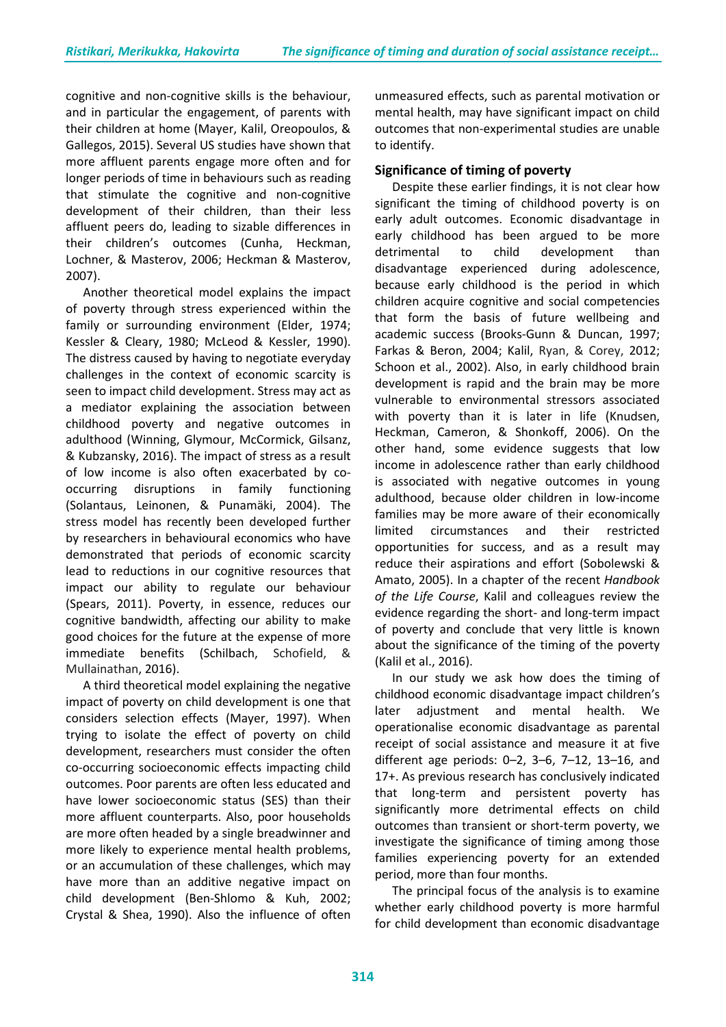cognitive and non-cognitive skills is the behaviour, and in particular the engagement, of parents with their children at home (Mayer, Kalil, Oreopoulos, & Gallegos, 2015). Several US studies have shown that more affluent parents engage more often and for longer periods of time in behaviours such as reading that stimulate the cognitive and non-cognitive development of their children, than their less affluent peers do, leading to sizable differences in their children's outcomes (Cunha, Heckman, Lochner, & Masterov, 2006; Heckman & Masterov, 2007).

Another theoretical model explains the impact of poverty through stress experienced within the family or surrounding environment (Elder, 1974; Kessler & Cleary, 1980; McLeod & Kessler, 1990). The distress caused by having to negotiate everyday challenges in the context of economic scarcity is seen to impact child development. Stress may act as a mediator explaining the association between childhood poverty and negative outcomes in adulthood (Winning, Glymour, McCormick, Gilsanz, & Kubzansky, 2016). The impact of stress as a result of low income is also often exacerbated by cooccurring disruptions in family functioning [\(Solantaus, Leinonen,](https://www.ncbi.nlm.nih.gov/pubmed/15122967) & Punamäki, 2004). The stress model has recently been developed further by researchers in behavioural economics who have demonstrated that periods of economic scarcity lead to reductions in our cognitive resources that impact our ability to regulate our behaviour (Spears, 2011). Poverty, in essence, reduces our cognitive bandwidth, affecting our ability to make good choices for the future at the expense of more immediate benefits (Schilbach, Schofield, & Mullainathan, 2016).

A third theoretical model explaining the negative impact of poverty on child development is one that considers selection effects [\(Mayer, 1997\)](http://www.hup.harvard.edu/catalog.php?isbn=9780674587342). When trying to isolate the effect of poverty on child development, researchers must consider the often co-occurring socioeconomic effects impacting child outcomes. Poor parents are often less educated and have lower socioeconomic status (SES) than their more affluent counterparts. Also, poor households are more often headed by a single breadwinner and more likely to experience mental health problems, or an accumulation of these challenges, which may have more than an additive negative impact on child development (Ben-Shlomo & Kuh, 2002; Crystal & Shea, 1990). Also the influence of often

unmeasured effects, such as parental motivation or mental health, may have significant impact on child outcomes that non-experimental studies are unable to identify.

## **Significance of timing of poverty**

Despite these earlier findings, it is not clear how significant the timing of childhood poverty is on early adult outcomes. Economic disadvantage in early childhood has been argued to be more detrimental to child development than disadvantage experienced during adolescence, because early childhood is the period in which children acquire cognitive and social competencies that form the basis of future wellbeing and academic success (Brooks-Gunn & Duncan, 1997; [Farkas & Beron, 2004;](http://www.sciencedirect.com/science/article/pii/S0049089X03000772?via%3Dihub) Kalil, Ryan, & Corey, 2012; [Schoon](http://onlinelibrary.wiley.com/doi/10.1111/1467-8624.00485/abstract) et al., 2002). Also, in early childhood brain development is rapid and the brain may be more vulnerable to environmental stressors associated with poverty than it is later in life (Knudsen, Heckman, Cameron, & Shonkoff, 2006). On the other hand, some evidence suggests that low income in adolescence rather than early childhood is associated with negative outcomes in young adulthood, because older children in low-income families may be more aware of their economically limited circumstances and their restricted opportunities for success, and as a result may reduce their aspirations and effort [\(Sobolewski](http://onlinelibrary.wiley.com/doi/10.1111/j.0022-2445.2005.00011.x/abstract) & [Amato, 2005\)](http://onlinelibrary.wiley.com/doi/10.1111/j.0022-2445.2005.00011.x/abstract). In a chapter of the recent *Handbook of the Life Course*, Kalil and colleagues review the evidence regarding the short- and long-term impact of poverty and conclude that very little is known about the significance of the timing of the poverty (Kalil et al., 2016).

In our study we ask how does the timing of childhood economic disadvantage impact children's later adjustment and mental health. We operationalise economic disadvantage as parental receipt of social assistance and measure it at five different age periods: 0–2, 3–6, 7–12, 13–16, and 17+. As previous research has conclusively indicated that long-term and persistent poverty has significantly more detrimental effects on child outcomes than transient or short-term poverty, we investigate the significance of timing among those families experiencing poverty for an extended period, more than four months.

The principal focus of the analysis is to examine whether early childhood poverty is more harmful for child development than economic disadvantage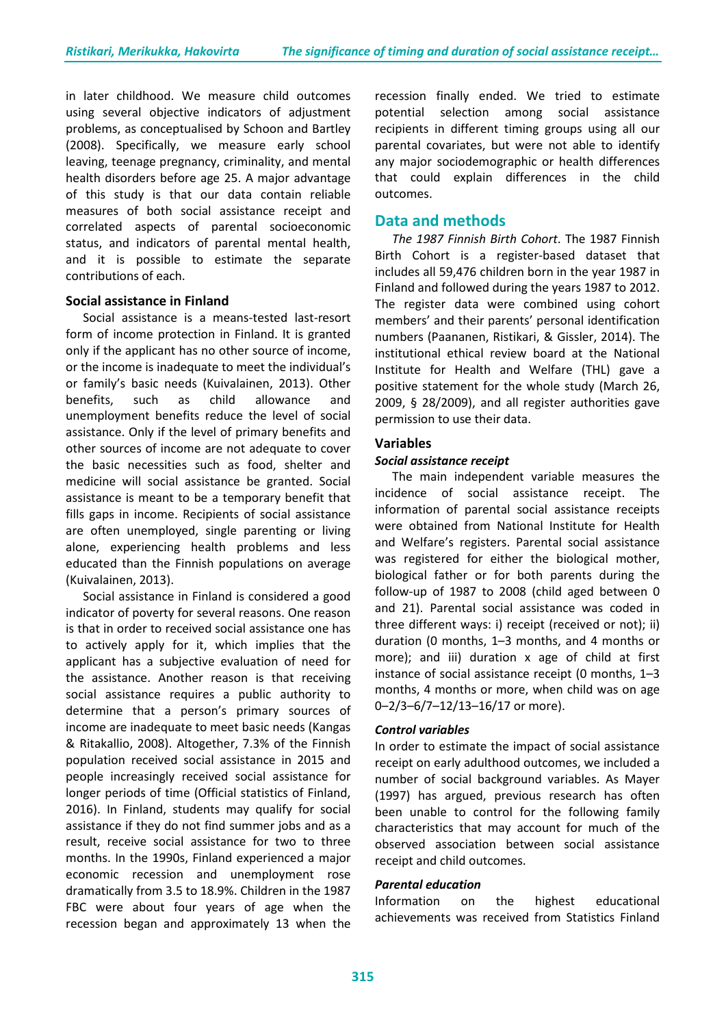in later childhood. We measure child outcomes using several objective indicators of adjustment problems, as conceptualised by Schoon and Bartley (2008). Specifically, we measure early school leaving, teenage pregnancy, criminality, and mental health disorders before age 25. A major advantage of this study is that our data contain reliable measures of both social assistance receipt and correlated aspects of parental socioeconomic status, and indicators of parental mental health, and it is possible to estimate the separate contributions of each.

#### **Social assistance in Finland**

Social assistance is a means-tested last-resort form of income protection in Finland. It is granted only if the applicant has no other source of income, or the income is inadequate to meet the individual's or family's basic needs (Kuivalainen, 2013). Other benefits, such as child allowance and unemployment benefits reduce the level of social assistance. Only if the level of primary benefits and other sources of income are not adequate to cover the basic necessities such as food, shelter and medicine will social assistance be granted. Social assistance is meant to be a temporary benefit that fills gaps in income. Recipients of social assistance are often unemployed, single parenting or living alone, experiencing health problems and less educated than the Finnish populations on average (Kuivalainen, 2013).

Social assistance in Finland is considered a good indicator of poverty for several reasons. One reason is that in order to received social assistance one has to actively apply for it, which implies that the applicant has a subjective evaluation of need for the assistance. Another reason is that receiving social assistance requires a public authority to determine that a person's primary sources of income are inadequate to meet basic needs (Kangas & Ritakallio, 2008). Altogether, 7.3% of the Finnish population received social assistance in 2015 and people increasingly received social assistance for longer periods of time (Official statistics of Finland, 2016). In Finland, students may qualify for social assistance if they do not find summer jobs and as a result, receive social assistance for two to three months. In the 1990s, Finland experienced a major economic recession and unemployment rose dramatically from 3.5 to 18.9%. Children in the 1987 FBC were about four years of age when the recession began and approximately 13 when the

recession finally ended. We tried to estimate potential selection among social assistance recipients in different timing groups using all our parental covariates, but were not able to identify any major sociodemographic or health differences that could explain differences in the child outcomes.

## **Data and methods**

*The 1987 Finnish Birth Cohort*. The 1987 Finnish Birth Cohort is a register-based dataset that includes all 59,476 children born in the year 1987 in Finland and followed during the years 1987 to 2012. The register data were combined using cohort members' and their parents' personal identification numbers (Paananen, Ristikari, & Gissler, 2014). The institutional ethical review board at the National Institute for Health and Welfare (THL) gave a positive statement for the whole study (March 26, 2009, § 28/2009), and all register authorities gave permission to use their data.

#### **Variables**

#### *Social assistance receipt*

The main independent variable measures the incidence of social assistance receipt. The information of parental social assistance receipts were obtained from National Institute for Health and Welfare's registers. Parental social assistance was registered for either the biological mother, biological father or for both parents during the follow-up of 1987 to 2008 (child aged between 0 and 21). Parental social assistance was coded in three different ways: i) receipt (received or not); ii) duration (0 months, 1–3 months, and 4 months or more); and iii) duration x age of child at first instance of social assistance receipt (0 months, 1–3 months, 4 months or more, when child was on age 0–2/3–6/7–12/13–16/17 or more).

#### *Control variables*

In order to estimate the impact of social assistance receipt on early adulthood outcomes, we included a number of social background variables. As Mayer (1997) has argued, previous research has often been unable to control for the following family characteristics that may account for much of the observed association between social assistance receipt and child outcomes.

#### *Parental education*

Information on the highest educational achievements was received from Statistics Finland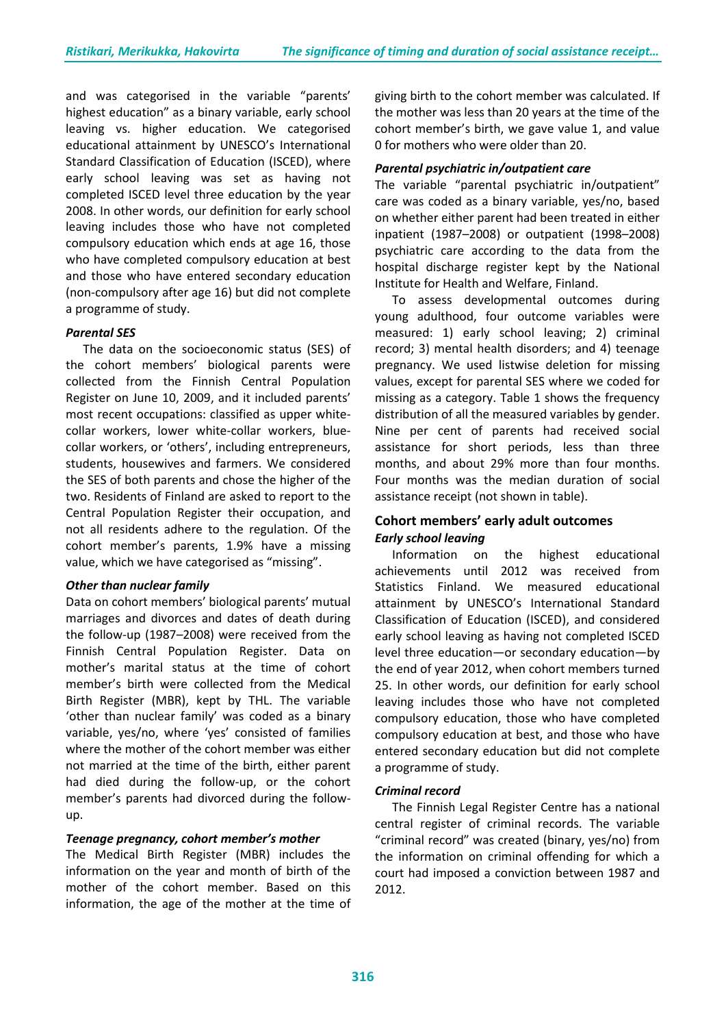and was categorised in the variable "parents' highest education" as a binary variable, early school leaving vs. higher education. We categorised educational attainment by UNESCO's International Standard Classification of Education (ISCED), where early school leaving was set as having not completed ISCED level three education by the year 2008. In other words, our definition for early school leaving includes those who have not completed compulsory education which ends at age 16, those who have completed compulsory education at best and those who have entered secondary education (non-compulsory after age 16) but did not complete a programme of study.

#### *Parental SES*

The data on the socioeconomic status (SES) of the cohort members' biological parents were collected from the Finnish Central Population Register on June 10, 2009, and it included parents' most recent occupations: classified as upper whitecollar workers, lower white-collar workers, bluecollar workers, or 'others', including entrepreneurs, students, housewives and farmers. We considered the SES of both parents and chose the higher of the two. Residents of Finland are asked to report to the Central Population Register their occupation, and not all residents adhere to the regulation. Of the cohort member's parents, 1.9% have a missing value, which we have categorised as "missing".

#### *Other than nuclear family*

Data on cohort members' biological parents' mutual marriages and divorces and dates of death during the follow-up (1987–2008) were received from the Finnish Central Population Register. Data on mother's marital status at the time of cohort member's birth were collected from the Medical Birth Register (MBR), kept by THL. The variable 'other than nuclear family' was coded as a binary variable, yes/no, where 'yes' consisted of families where the mother of the cohort member was either not married at the time of the birth, either parent had died during the follow-up, or the cohort member's parents had divorced during the followup.

#### *Teenage pregnancy, cohort member's mother*

The Medical Birth Register (MBR) includes the information on the year and month of birth of the mother of the cohort member. Based on this information, the age of the mother at the time of giving birth to the cohort member was calculated. If the mother was less than 20 years at the time of the cohort member's birth, we gave value 1, and value 0 for mothers who were older than 20.

#### *Parental psychiatric in/outpatient care*

The variable "parental psychiatric in/outpatient" care was coded as a binary variable, yes/no, based on whether either parent had been treated in either inpatient (1987–2008) or outpatient (1998–2008) psychiatric care according to the data from the hospital discharge register kept by the National Institute for Health and Welfare, Finland.

To assess developmental outcomes during young adulthood, four outcome variables were measured: 1) early school leaving; 2) criminal record; 3) mental health disorders; and 4) teenage pregnancy. We used listwise deletion for missing values, except for parental SES where we coded for missing as a category. Table 1 shows the frequency distribution of all the measured variables by gender. Nine per cent of parents had received social assistance for short periods, less than three months, and about 29% more than four months. Four months was the median duration of social assistance receipt (not shown in table).

## **Cohort members' early adult outcomes** *Early school leaving*

Information on the highest educational achievements until 2012 was received from Statistics Finland. We measured educational attainment by UNESCO's International Standard Classification of Education (ISCED), and considered early school leaving as having not completed ISCED level three education—or secondary education—by the end of year 2012, when cohort members turned 25. In other words, our definition for early school leaving includes those who have not completed compulsory education, those who have completed compulsory education at best, and those who have entered secondary education but did not complete a programme of study.

#### *Criminal record*

The Finnish Legal Register Centre has a national central register of criminal records. The variable "criminal record" was created (binary, yes/no) from the information on criminal offending for which a court had imposed a conviction between 1987 and 2012.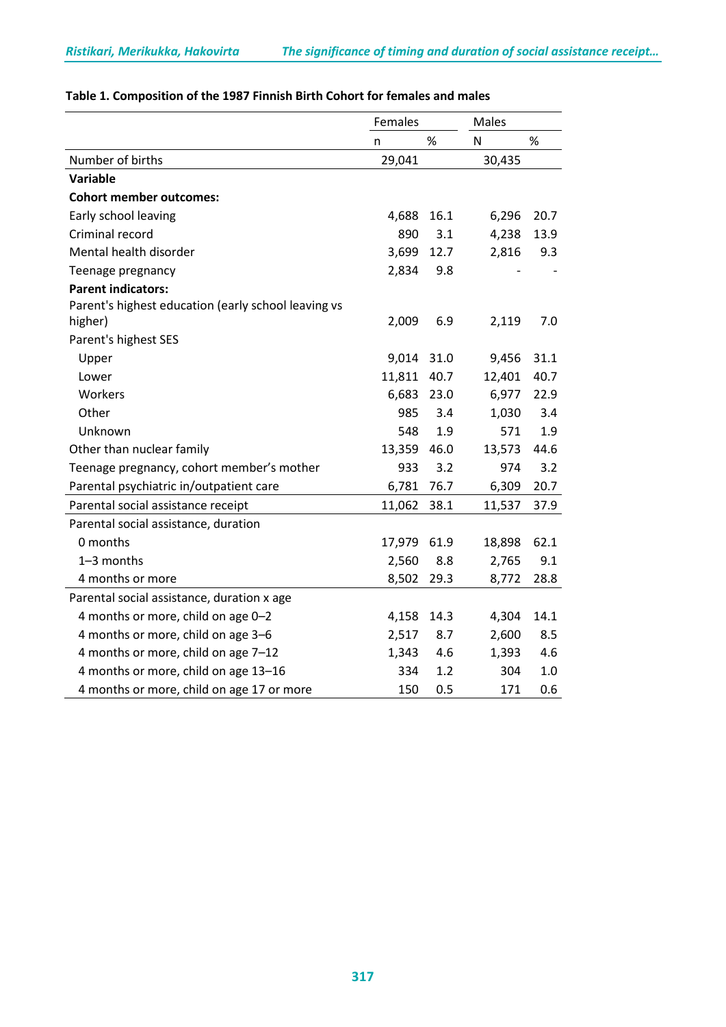|                                                     | Females |      | Males  |      |
|-----------------------------------------------------|---------|------|--------|------|
|                                                     | n       | $\%$ | N      | $\%$ |
| Number of births                                    | 29,041  |      | 30,435 |      |
| <b>Variable</b>                                     |         |      |        |      |
| <b>Cohort member outcomes:</b>                      |         |      |        |      |
| Early school leaving                                | 4,688   | 16.1 | 6,296  | 20.7 |
| Criminal record                                     | 890     | 3.1  | 4,238  | 13.9 |
| Mental health disorder                              | 3,699   | 12.7 | 2,816  | 9.3  |
| Teenage pregnancy                                   | 2,834   | 9.8  |        |      |
| <b>Parent indicators:</b>                           |         |      |        |      |
| Parent's highest education (early school leaving vs |         |      |        |      |
| higher)                                             | 2,009   | 6.9  | 2,119  | 7.0  |
| Parent's highest SES                                |         |      |        |      |
| Upper                                               | 9,014   | 31.0 | 9,456  | 31.1 |
| Lower                                               | 11,811  | 40.7 | 12,401 | 40.7 |
| Workers                                             | 6,683   | 23.0 | 6,977  | 22.9 |
| Other                                               | 985     | 3.4  | 1,030  | 3.4  |
| Unknown                                             | 548     | 1.9  | 571    | 1.9  |
| Other than nuclear family                           | 13,359  | 46.0 | 13,573 | 44.6 |
| Teenage pregnancy, cohort member's mother           | 933     | 3.2  | 974    | 3.2  |
| Parental psychiatric in/outpatient care             | 6,781   | 76.7 | 6,309  | 20.7 |
| Parental social assistance receipt                  | 11,062  | 38.1 | 11,537 | 37.9 |
| Parental social assistance, duration                |         |      |        |      |
| 0 months                                            | 17,979  | 61.9 | 18,898 | 62.1 |
| 1-3 months                                          | 2,560   | 8.8  | 2,765  | 9.1  |
| 4 months or more                                    | 8,502   | 29.3 | 8,772  | 28.8 |
| Parental social assistance, duration x age          |         |      |        |      |
| 4 months or more, child on age 0-2                  | 4,158   | 14.3 | 4,304  | 14.1 |
| 4 months or more, child on age 3-6                  | 2,517   | 8.7  | 2,600  | 8.5  |
| 4 months or more, child on age 7-12                 | 1,343   | 4.6  | 1,393  | 4.6  |
| 4 months or more, child on age 13-16                | 334     | 1.2  | 304    | 1.0  |
| 4 months or more, child on age 17 or more           | 150     | 0.5  | 171    | 0.6  |

# **Table 1. Composition of the 1987 Finnish Birth Cohort for females and males**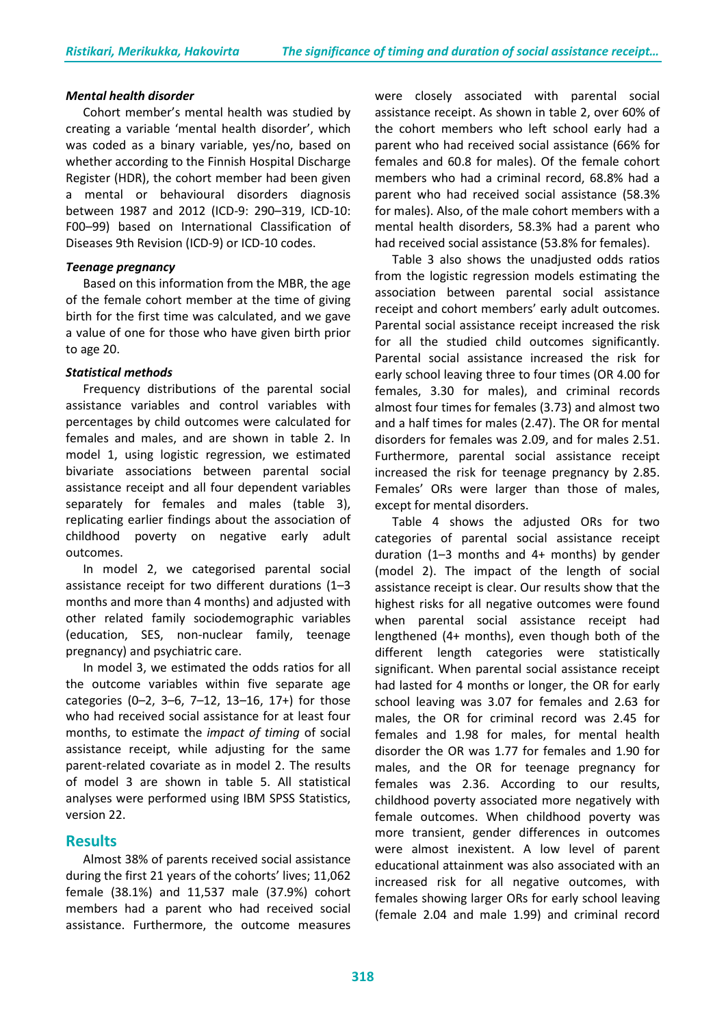#### *Mental health disorder*

Cohort member's mental health was studied by creating a variable 'mental health disorder', which was coded as a binary variable, yes/no, based on whether according to the Finnish Hospital Discharge Register (HDR), the cohort member had been given a mental or behavioural disorders diagnosis between 1987 and 2012 (ICD-9: 290–319, ICD-10: F00–99) based on International Classification of Diseases 9th Revision (ICD-9) or ICD-10 codes.

#### *Teenage pregnancy*

Based on this information from the MBR, the age of the female cohort member at the time of giving birth for the first time was calculated, and we gave a value of one for those who have given birth prior to age 20.

#### *Statistical methods*

Frequency distributions of the parental social assistance variables and control variables with percentages by child outcomes were calculated for females and males, and are shown in table 2. In model 1, using logistic regression, we estimated bivariate associations between parental social assistance receipt and all four dependent variables separately for females and males (table 3), replicating earlier findings about the association of childhood poverty on negative early adult outcomes.

In model 2, we categorised parental social assistance receipt for two different durations (1–3 months and more than 4 months) and adjusted with other related family sociodemographic variables (education, SES, non-nuclear family, teenage pregnancy) and psychiatric care.

In model 3, we estimated the odds ratios for all the outcome variables within five separate age categories (0–2, 3–6, 7–12, 13–16, 17+) for those who had received social assistance for at least four months, to estimate the *impact of timing* of social assistance receipt, while adjusting for the same parent-related covariate as in model 2. The results of model 3 are shown in table 5. All statistical analyses were performed using IBM SPSS Statistics, version 22.

## **Results**

Almost 38% of parents received social assistance during the first 21 years of the cohorts' lives; 11,062 female (38.1%) and 11,537 male (37.9%) cohort members had a parent who had received social assistance. Furthermore, the outcome measures

were closely associated with parental social assistance receipt. As shown in table 2, over 60% of the cohort members who left school early had a parent who had received social assistance (66% for females and 60.8 for males). Of the female cohort members who had a criminal record, 68.8% had a parent who had received social assistance (58.3% for males). Also, of the male cohort members with a mental health disorders, 58.3% had a parent who had received social assistance (53.8% for females).

Table 3 also shows the unadjusted odds ratios from the logistic regression models estimating the association between parental social assistance receipt and cohort members' early adult outcomes. Parental social assistance receipt increased the risk for all the studied child outcomes significantly. Parental social assistance increased the risk for early school leaving three to four times (OR 4.00 for females, 3.30 for males), and criminal records almost four times for females (3.73) and almost two and a half times for males (2.47). The OR for mental disorders for females was 2.09, and for males 2.51. Furthermore, parental social assistance receipt increased the risk for teenage pregnancy by 2.85. Females' ORs were larger than those of males, except for mental disorders.

Table 4 shows the adjusted ORs for two categories of parental social assistance receipt duration (1–3 months and 4+ months) by gender (model 2). The impact of the length of social assistance receipt is clear. Our results show that the highest risks for all negative outcomes were found when parental social assistance receipt had lengthened (4+ months), even though both of the different length categories were statistically significant. When parental social assistance receipt had lasted for 4 months or longer, the OR for early school leaving was 3.07 for females and 2.63 for males, the OR for criminal record was 2.45 for females and 1.98 for males, for mental health disorder the OR was 1.77 for females and 1.90 for males, and the OR for teenage pregnancy for females was 2.36. According to our results, childhood poverty associated more negatively with female outcomes. When childhood poverty was more transient, gender differences in outcomes were almost inexistent. A low level of parent educational attainment was also associated with an increased risk for all negative outcomes, with females showing larger ORs for early school leaving (female 2.04 and male 1.99) and criminal record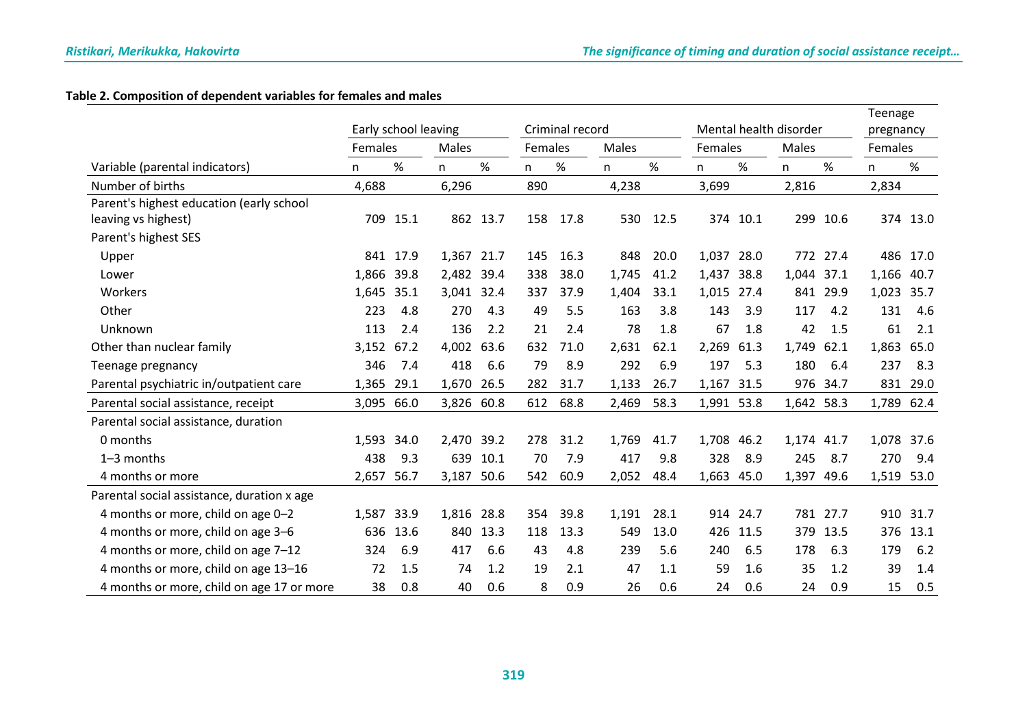## **Table 2. Composition of dependent variables for females and males**

|                                            |                      |          |            |          |     |                 |       |       |            |                        |            |          | Teenage |          |
|--------------------------------------------|----------------------|----------|------------|----------|-----|-----------------|-------|-------|------------|------------------------|------------|----------|---------|----------|
|                                            | Early school leaving |          |            |          |     | Criminal record |       |       |            | Mental health disorder | pregnancy  |          |         |          |
|                                            | Females              |          | Males      |          |     | Females         |       | Males |            | Females                |            | Males    |         | Females  |
| Variable (parental indicators)             | n                    | %        | n          | %        | n   | %               | n     | $\%$  | n          | %                      | n          | $\%$     | n       | %        |
| Number of births                           | 4,688                |          | 6,296      |          | 890 |                 | 4,238 |       | 3,699      |                        | 2,816      |          | 2,834   |          |
| Parent's highest education (early school   |                      |          |            |          |     |                 |       |       |            |                        |            |          |         |          |
| leaving vs highest)                        |                      | 709 15.1 |            | 862 13.7 | 158 | 17.8            | 530   | 12.5  |            | 374 10.1               |            | 299 10.6 |         | 374 13.0 |
| Parent's highest SES                       |                      |          |            |          |     |                 |       |       |            |                        |            |          |         |          |
| Upper                                      |                      | 841 17.9 | 1,367 21.7 |          | 145 | 16.3            | 848   | 20.0  | 1,037 28.0 |                        |            | 772 27.4 | 486     | 17.0     |
| Lower                                      | 1,866 39.8           |          | 2,482 39.4 |          | 338 | 38.0            | 1,745 | 41.2  | 1,437 38.8 |                        | 1,044 37.1 |          | 1,166   | 40.7     |
| Workers                                    | 1,645                | 35.1     | 3,041 32.4 |          | 337 | 37.9            | 1,404 | 33.1  | 1,015 27.4 |                        |            | 841 29.9 | 1,023   | 35.7     |
| Other                                      | 223                  | 4.8      | 270        | 4.3      | 49  | 5.5             | 163   | 3.8   | 143        | 3.9                    | 117        | 4.2      | 131     | 4.6      |
| Unknown                                    | 113                  | 2.4      | 136        | 2.2      | 21  | 2.4             | 78    | 1.8   | 67         | 1.8                    | 42         | 1.5      | 61      | 2.1      |
| Other than nuclear family                  | 3,152                | 67.2     | 4,002      | 63.6     | 632 | 71.0            | 2,631 | 62.1  | 2,269      | 61.3                   | 1,749      | 62.1     | 1,863   | 65.0     |
| Teenage pregnancy                          | 346                  | 7.4      | 418        | 6.6      | 79  | 8.9             | 292   | 6.9   | 197        | 5.3                    | 180        | 6.4      | 237     | 8.3      |
| Parental psychiatric in/outpatient care    | 1,365                | 29.1     | 1,670      | 26.5     | 282 | 31.7            | 1,133 | 26.7  | 1,167 31.5 |                        |            | 976 34.7 | 831     | 29.0     |
| Parental social assistance, receipt        | 3,095 66.0           |          | 3,826 60.8 |          | 612 | 68.8            | 2,469 | 58.3  | 1,991 53.8 |                        | 1,642 58.3 |          | 1,789   | 62.4     |
| Parental social assistance, duration       |                      |          |            |          |     |                 |       |       |            |                        |            |          |         |          |
| 0 months                                   | 1,593                | 34.0     | 2,470 39.2 |          | 278 | 31.2            | 1,769 | 41.7  | 1,708      | 46.2                   | 1,174      | 41.7     | 1,078   | 37.6     |
| $1-3$ months                               | 438                  | 9.3      | 639        | 10.1     | 70  | 7.9             | 417   | 9.8   | 328        | 8.9                    | 245        | 8.7      | 270     | 9.4      |
| 4 months or more                           | 2,657                | 56.7     | 3,187      | 50.6     | 542 | 60.9            | 2,052 | 48.4  | 1,663      | 45.0                   | 1,397      | 49.6     | 1,519   | 53.0     |
| Parental social assistance, duration x age |                      |          |            |          |     |                 |       |       |            |                        |            |          |         |          |
| 4 months or more, child on age 0-2         | 1,587 33.9           |          | 1,816 28.8 |          | 354 | 39.8            | 1,191 | 28.1  |            | 914 24.7               |            | 781 27.7 | 910     | 31.7     |
| 4 months or more, child on age 3-6         | 636                  | 13.6     | 840        | 13.3     | 118 | 13.3            | 549   | 13.0  | 426        | 11.5                   | 379        | 13.5     | 376     | 13.1     |
| 4 months or more, child on age 7-12        | 324                  | 6.9      | 417        | 6.6      | 43  | 4.8             | 239   | 5.6   | 240        | 6.5                    | 178        | 6.3      | 179     | 6.2      |
| 4 months or more, child on age 13-16       | 72                   | 1.5      | 74         | 1.2      | 19  | 2.1             | 47    | 1.1   | 59         | 1.6                    | 35         | 1.2      | 39      | 1.4      |
| 4 months or more, child on age 17 or more  | 38                   | 0.8      | 40         | 0.6      | 8   | 0.9             | 26    | 0.6   | 24         | 0.6                    | 24         | 0.9      | 15      | 0.5      |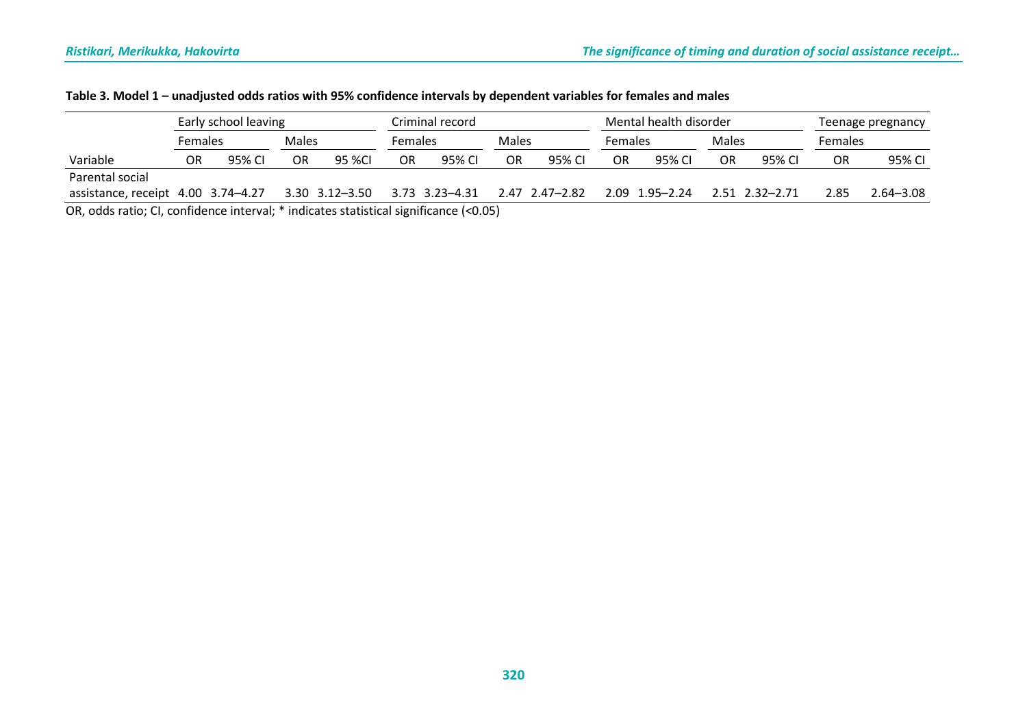|                                                                                                                   |         | Early school leaving |       |                |         | Criminal record      |       |                  |                | Mental health disorder | Teenage pregnancy |                      |                |               |
|-------------------------------------------------------------------------------------------------------------------|---------|----------------------|-------|----------------|---------|----------------------|-------|------------------|----------------|------------------------|-------------------|----------------------|----------------|---------------|
|                                                                                                                   | Females |                      | Males |                | Females |                      | Males |                  | <b>Females</b> |                        | Males             |                      | <b>Females</b> |               |
| Variable                                                                                                          | OR      | 95% CI               | OR    | 95 %Cl         | OR      | 95% CI               | OR    | 95% CI           | OR             | 95% CI                 | OR                | 95% CI               | OR             | 95% CI        |
| Parental social                                                                                                   |         |                      |       |                |         |                      |       |                  |                |                        |                   |                      |                |               |
| assistance, receipt 4.00 3.74-4.27                                                                                |         |                      |       | 3.30 3.12-3.50 |         | $3.73$ $3.23 - 4.31$ |       | 2.47 2.47 - 2.82 |                | 2.09 1.95 - 2.24       |                   | $2.51$ $2.32 - 2.71$ | 2.85           | $2.64 - 3.08$ |
| $\Omega_{\rm R}$ adds ratio; $\Omega_{\rm R}$ confidence interval; $*$ indicates statistical significance (<0.05) |         |                      |       |                |         |                      |       |                  |                |                        |                   |                      |                |               |

OR, odds ratio; CI, confidence interval; \* indicates statistical significance (<0.05)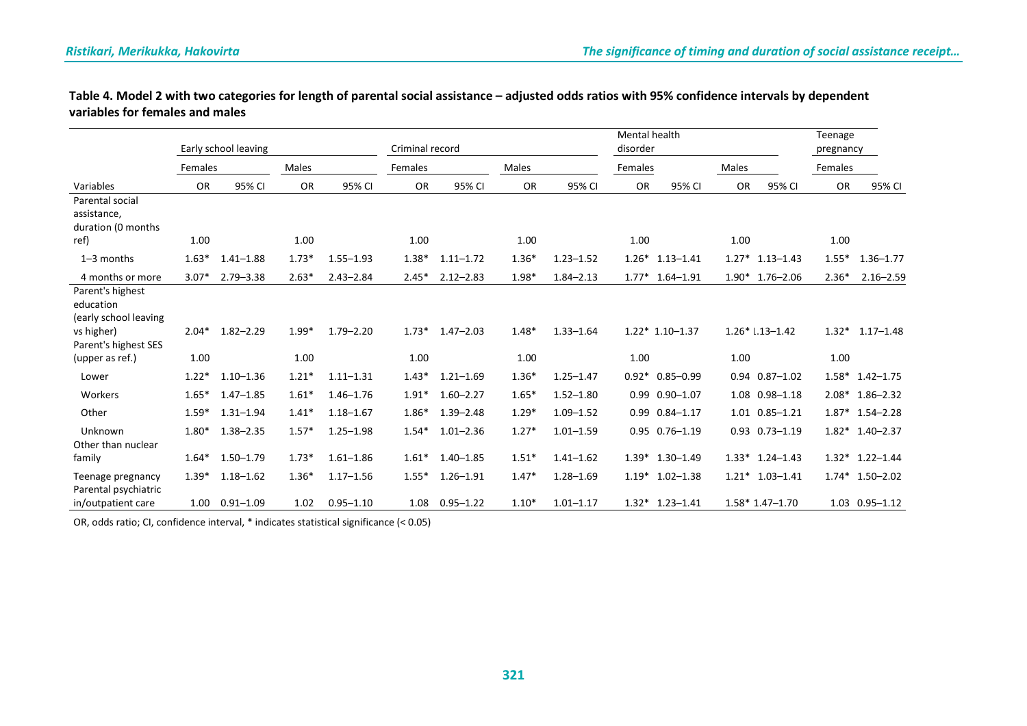| Table 4. Model 2 with two categories for length of parental social assistance - adjusted odds ratios with 95% confidence intervals by dependent |  |
|-------------------------------------------------------------------------------------------------------------------------------------------------|--|
| variables for females and males                                                                                                                 |  |

|                                                                      | Early school leaving |               |              |               |           | Criminal record |           |               | <b>Mental health</b><br>disorder |                      | Teenage<br>pregnancy |                      |           |                   |
|----------------------------------------------------------------------|----------------------|---------------|--------------|---------------|-----------|-----------------|-----------|---------------|----------------------------------|----------------------|----------------------|----------------------|-----------|-------------------|
|                                                                      | Females              |               | <b>Males</b> |               | Females   |                 | Males     |               | Females                          |                      | <b>Males</b>         |                      | Females   |                   |
| Variables                                                            | <b>OR</b>            | 95% CI        | <b>OR</b>    | 95% CI        | <b>OR</b> | 95% CI          | <b>OR</b> | 95% CI        | <b>OR</b>                        | 95% CI               | <b>OR</b>            | 95% CI               | <b>OR</b> | 95% CI            |
| Parental social<br>assistance,<br>duration (0 months                 |                      |               |              |               |           |                 |           |               |                                  |                      |                      |                      |           |                   |
| ref)                                                                 | 1.00                 |               | 1.00         |               | 1.00      |                 | 1.00      |               | 1.00                             |                      | 1.00                 |                      | 1.00      |                   |
| $1-3$ months                                                         | $1.63*$              | $1.41 - 1.88$ | $1.73*$      | $1.55 - 1.93$ | $1.38*$   | $1.11 - 1.72$   | $1.36*$   | $1.23 - 1.52$ |                                  | $1.26*$ 1.13-1.41    |                      | $1.27*$ 1.13-1.43    | $1.55*$   | $1.36 - 1.77$     |
| 4 months or more                                                     | $3.07*$              | $2.79 - 3.38$ | $2.63*$      | $2.43 - 2.84$ | $2.45*$   | $2.12 - 2.83$   | 1.98*     | $1.84 - 2.13$ |                                  | $1.77*$ 1.64-1.91    |                      | $1.90*$ 1.76-2.06    | $2.36*$   | $2.16 - 2.59$     |
| Parent's highest<br>education<br>(early school leaving<br>vs higher) | $2.04*$              | $1.82 - 2.29$ | $1.99*$      | $1.79 - 2.20$ | $1.73*$   | $1.47 - 2.03$   | $1.48*$   | $1.33 - 1.64$ |                                  | $1.22*1.10-1.37$     |                      | $1.26*1.13-1.42$     |           | $1.32*$ 1.17-1.48 |
| Parent's highest SES                                                 |                      |               |              |               |           |                 |           |               |                                  |                      |                      |                      |           |                   |
| (upper as ref.)                                                      | 1.00                 |               | 1.00         |               | 1.00      |                 | 1.00      |               | 1.00                             |                      | 1.00                 |                      | 1.00      |                   |
| Lower                                                                | $1.22*$              | $1.10 - 1.36$ | $1.21*$      | $1.11 - 1.31$ | $1.43*$   | $1.21 - 1.69$   | $1.36*$   | $1.25 - 1.47$ | $0.92*$                          | $0.85 - 0.99$        |                      | $0.94$ $0.87 - 1.02$ | $1.58*$   | $1.42 - 1.75$     |
| Workers                                                              | $1.65*$              | $1.47 - 1.85$ | $1.61*$      | $1.46 - 1.76$ | $1.91*$   | $1.60 - 2.27$   | $1.65*$   | $1.52 - 1.80$ |                                  | $0.99$ $0.90 - 1.07$ |                      | 1.08 0.98-1.18       | $2.08*$   | $1.86 - 2.32$     |
| Other                                                                | $1.59*$              | $1.31 - 1.94$ | $1.41*$      | $1.18 - 1.67$ | $1.86*$   | $1.39 - 2.48$   | $1.29*$   | $1.09 - 1.52$ |                                  | $0.99$ $0.84 - 1.17$ |                      | 1.01 0.85-1.21       |           | $1.87*$ 1.54-2.28 |
| Unknown<br>Other than nuclear                                        | $1.80*$              | $1.38 - 2.35$ | $1.57*$      | $1.25 - 1.98$ | $1.54*$   | $1.01 - 2.36$   | $1.27*$   | $1.01 - 1.59$ |                                  | 0.95 0.76-1.19       |                      | $0.93$ $0.73 - 1.19$ |           | $1.82*$ 1.40-2.37 |
| family                                                               | $1.64*$              | $1.50 - 1.79$ | $1.73*$      | $1.61 - 1.86$ | $1.61*$   | $1.40 - 1.85$   | $1.51*$   | $1.41 - 1.62$ |                                  | $1.39*$ 1.30-1.49    |                      | $1.33*$ 1.24-1.43    |           | $1.32*$ 1.22-1.44 |
| Teenage pregnancy<br>Parental psychiatric                            | $1.39*$              | $1.18 - 1.62$ | $1.36*$      | $1.17 - 1.56$ | $1.55*$   | $1.26 - 1.91$   | $1.47*$   | $1.28 - 1.69$ | $1.19*$                          | $1.02 - 1.38$        |                      | $1.21*$ 1.03-1.41    | $1.74*$   | $1.50 - 2.02$     |
| in/outpatient care                                                   | 1.00                 | $0.91 - 1.09$ | 1.02         | $0.95 - 1.10$ |           | 1.08  0.95-1.22 | $1.10*$   | $1.01 - 1.17$ |                                  | $1.32*$ 1.23-1.41    |                      | $1.58*1.47-1.70$     |           | 1.03 0.95-1.12    |

OR, odds ratio; CI, confidence interval, \* indicates statistical significance (< 0.05)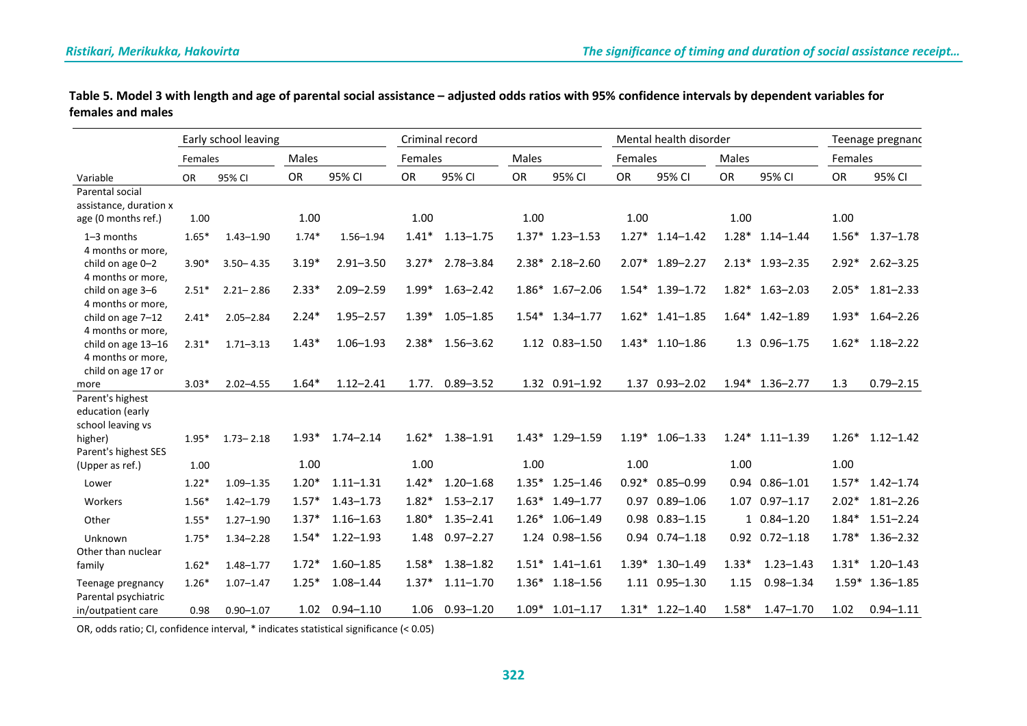|                   | Table 5. Model 3 with length and age of parental social assistance - adjusted odds ratios with 95% confidence intervals by dependent variables for |
|-------------------|----------------------------------------------------------------------------------------------------------------------------------------------------|
| females and males |                                                                                                                                                    |

| Early school leaving                          |         |               |         |               |         | Criminal record |         |                   |         | Mental health disorder | Teenage pregnanc |                      |         |                   |
|-----------------------------------------------|---------|---------------|---------|---------------|---------|-----------------|---------|-------------------|---------|------------------------|------------------|----------------------|---------|-------------------|
|                                               | Females |               | Males   |               | Females |                 | Males   |                   | Females |                        | Males            |                      | Females |                   |
| Variable                                      | OR      | 95% CI        | OR      | 95% CI        | OR      | 95% CI          | OR      | 95% CI            | OR      | 95% CI                 | OR               | 95% CI               | OR      | 95% CI            |
| Parental social                               |         |               |         |               |         |                 |         |                   |         |                        |                  |                      |         |                   |
| assistance, duration x<br>age (0 months ref.) | 1.00    |               | 1.00    |               | 1.00    |                 | 1.00    |                   | 1.00    |                        | 1.00             |                      | 1.00    |                   |
|                                               |         |               |         |               |         |                 |         |                   |         |                        |                  |                      |         |                   |
| $1-3$ months<br>4 months or more,             | $1.65*$ | $1.43 - 1.90$ | $1.74*$ | $1.56 - 1.94$ | $1.41*$ | $1.13 - 1.75$   |         | $1.37*$ 1.23-1.53 | $1.27*$ | $1.14 - 1.42$          |                  | $1.28*$ 1.14-1.44    | $1.56*$ | $1.37 - 1.78$     |
| child on age 0-2                              | $3.90*$ | $3.50 - 4.35$ | $3.19*$ | $2.91 - 3.50$ | $3.27*$ | $2.78 - 3.84$   |         | $2.38*$ 2.18-2.60 |         | 2.07* 1.89-2.27        |                  | $2.13*$ 1.93-2.35    | $2.92*$ | $2.62 - 3.25$     |
| 4 months or more,                             |         |               |         |               |         |                 |         |                   |         |                        |                  |                      |         |                   |
| child on age 3-6                              | $2.51*$ | $2.21 - 2.86$ | $2.33*$ | $2.09 - 2.59$ | $1.99*$ | $1.63 - 2.42$   |         | $1.86*$ 1.67-2.06 |         | $1.54*$ 1.39-1.72      |                  | $1.82*$ 1.63-2.03    | $2.05*$ | $1.81 - 2.33$     |
| 4 months or more,                             |         |               |         |               |         |                 |         |                   |         |                        |                  |                      |         |                   |
| child on age 7-12                             | $2.41*$ | $2.05 - 2.84$ | $2.24*$ | $1.95 - 2.57$ | $1.39*$ | $1.05 - 1.85$   |         | $1.54*$ 1.34-1.77 |         | $1.62*$ 1.41-1.85      |                  | $1.64*$ 1.42-1.89    | $1.93*$ | $1.64 - 2.26$     |
| 4 months or more,                             |         |               | $1.43*$ | $1.06 - 1.93$ | $2.38*$ | $1.56 - 3.62$   |         | 1.12 0.83-1.50    |         | $1.43*$ 1.10-1.86      |                  | 1.3 0.96-1.75        | $1.62*$ | $1.18 - 2.22$     |
| child on age 13-16<br>4 months or more,       | $2.31*$ | $1.71 - 3.13$ |         |               |         |                 |         |                   |         |                        |                  |                      |         |                   |
| child on age 17 or                            |         |               |         |               |         |                 |         |                   |         |                        |                  |                      |         |                   |
| more                                          | $3.03*$ | $2.02 - 4.55$ | $1.64*$ | $1.12 - 2.41$ | 1.77.   | $0.89 - 3.52$   |         | 1.32 0.91-1.92    |         | 1.37 0.93-2.02         |                  | $1.94*$ 1.36-2.77    | 1.3     | $0.79 - 2.15$     |
| Parent's highest                              |         |               |         |               |         |                 |         |                   |         |                        |                  |                      |         |                   |
| education (early                              |         |               |         |               |         |                 |         |                   |         |                        |                  |                      |         |                   |
| school leaving vs                             |         |               |         |               |         |                 |         |                   |         |                        |                  |                      |         |                   |
| higher)<br>Parent's highest SES               | $1.95*$ | $1.73 - 2.18$ | $1.93*$ | $1.74 - 2.14$ | $1.62*$ | $1.38 - 1.91$   | $1.43*$ | $1.29 - 1.59$     | $1.19*$ | $1.06 - 1.33$          | $1.24*$          | $1.11 - 1.39$        | $1.26*$ | $1.12 - 1.42$     |
| (Upper as ref.)                               | 1.00    |               | 1.00    |               | 1.00    |                 | 1.00    |                   | 1.00    |                        | 1.00             |                      | 1.00    |                   |
| Lower                                         | $1.22*$ | $1.09 - 1.35$ | $1.20*$ | $1.11 - 1.31$ | $1.42*$ | $1.20 - 1.68$   | $1.35*$ | $1.25 - 1.46$     |         | $0.92*0.85-0.99$       |                  | $0.94$ $0.86 - 1.01$ | $1.57*$ | $1.42 - 1.74$     |
| Workers                                       | $1.56*$ | $1.42 - 1.79$ | $1.57*$ | $1.43 - 1.73$ | $1.82*$ | $1.53 - 2.17$   |         | $1.63*$ 1.49-1.77 |         | 0.97 0.89-1.06         |                  | 1.07 0.97-1.17       | $2.02*$ | $1.81 - 2.26$     |
|                                               |         |               |         |               |         |                 |         |                   |         |                        |                  |                      |         |                   |
| Other                                         | $1.55*$ | $1.27 - 1.90$ | $1.37*$ | $1.16 - 1.63$ | $1.80*$ | $1.35 - 2.41$   |         | $1.26*$ 1.06-1.49 |         | $0.98$ $0.83 - 1.15$   |                  | $10.84 - 1.20$       | $1.84*$ | $1.51 - 2.24$     |
| Unknown                                       | $1.75*$ | $1.34 - 2.28$ | $1.54*$ | $1.22 - 1.93$ | 1.48    | $0.97 - 2.27$   |         | 1.24 0.98-1.56    |         | $0.94$ $0.74 - 1.18$   |                  | $0.92$ $0.72 - 1.18$ | $1.78*$ | $1.36 - 2.32$     |
| Other than nuclear                            |         |               |         |               |         |                 | $1.51*$ |                   |         |                        |                  |                      |         |                   |
| family                                        | $1.62*$ | $1.48 - 1.77$ | $1.72*$ | $1.60 - 1.85$ | $1.58*$ | $1.38 - 1.82$   |         | $1.41 - 1.61$     |         | $1.39*$ 1.30-1.49      | $1.33*$          | $1.23 - 1.43$        | $1.31*$ | $1.20 - 1.43$     |
| Teenage pregnancy<br>Parental psychiatric     | $1.26*$ | $1.07 - 1.47$ | $1.25*$ | $1.08 - 1.44$ | $1.37*$ | $1.11 - 1.70$   |         | $1.36*$ 1.18-1.56 |         | 1.11 0.95-1.30         | 1.15             | $0.98 - 1.34$        |         | $1.59*$ 1.36-1.85 |
| in/outpatient care                            | 0.98    | $0.90 - 1.07$ | 1.02    | $0.94 - 1.10$ | 1.06    | $0.93 - 1.20$   | $1.09*$ | $1.01 - 1.17$     |         | $1.31*$ 1.22-1.40      | $1.58*$          | $1.47 - 1.70$        | 1.02    | $0.94 - 1.11$     |

OR, odds ratio; CI, confidence interval, \* indicates statistical significance (< 0.05)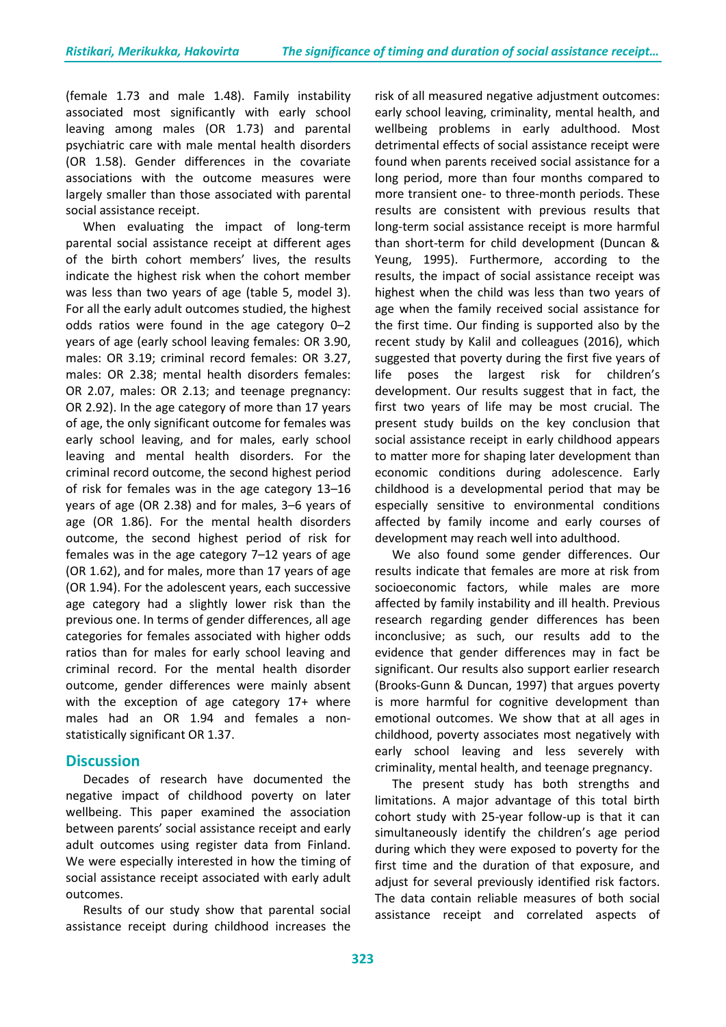(female 1.73 and male 1.48). Family instability associated most significantly with early school leaving among males (OR 1.73) and parental psychiatric care with male mental health disorders (OR 1.58). Gender differences in the covariate associations with the outcome measures were largely smaller than those associated with parental social assistance receipt.

When evaluating the impact of long-term parental social assistance receipt at different ages of the birth cohort members' lives, the results indicate the highest risk when the cohort member was less than two years of age (table 5, model 3). For all the early adult outcomes studied, the highest odds ratios were found in the age category 0–2 years of age (early school leaving females: OR 3.90, males: OR 3.19; criminal record females: OR 3.27, males: OR 2.38; mental health disorders females: OR 2.07, males: OR 2.13; and teenage pregnancy: OR 2.92). In the age category of more than 17 years of age, the only significant outcome for females was early school leaving, and for males, early school leaving and mental health disorders. For the criminal record outcome, the second highest period of risk for females was in the age category 13–16 years of age (OR 2.38) and for males, 3–6 years of age (OR 1.86). For the mental health disorders outcome, the second highest period of risk for females was in the age category 7–12 years of age (OR 1.62), and for males, more than 17 years of age (OR 1.94). For the adolescent years, each successive age category had a slightly lower risk than the previous one. In terms of gender differences, all age categories for females associated with higher odds ratios than for males for early school leaving and criminal record. For the mental health disorder outcome, gender differences were mainly absent with the exception of age category 17+ where males had an OR 1.94 and females a nonstatistically significant OR 1.37.

# **Discussion**

Decades of research have documented the negative impact of childhood poverty on later wellbeing. This paper examined the association between parents' social assistance receipt and early adult outcomes using register data from Finland. We were especially interested in how the timing of social assistance receipt associated with early adult outcomes.

Results of our study show that parental social assistance receipt during childhood increases the

risk of all measured negative adjustment outcomes: early school leaving, criminality, mental health, and wellbeing problems in early adulthood. Most detrimental effects of social assistance receipt were found when parents received social assistance for a long period, more than four months compared to more transient one- to three-month periods. These results are consistent with previous results that long-term social assistance receipt is more harmful than short-term for child development (Duncan & Yeung, 1995). Furthermore, according to the results, the impact of social assistance receipt was highest when the child was less than two years of age when the family received social assistance for the first time. Our finding is supported also by the recent study by Kalil and colleagues (2016), which suggested that poverty during the first five years of life poses the largest risk for children's development. Our results suggest that in fact, the first two years of life may be most crucial. The present study builds on the key conclusion that social assistance receipt in early childhood appears to matter more for shaping later development than economic conditions during adolescence. Early childhood is a developmental period that may be especially sensitive to environmental conditions affected by family income and early courses of development may reach well into adulthood.

We also found some gender differences. Our results indicate that females are more at risk from socioeconomic factors, while males are more affected by family instability and ill health. Previous research regarding gender differences has been inconclusive; as such, our results add to the evidence that gender differences may in fact be significant. Our results also support earlier research (Brooks-Gunn & Duncan, 1997) that argues poverty is more harmful for cognitive development than emotional outcomes. We show that at all ages in childhood, poverty associates most negatively with early school leaving and less severely with criminality, mental health, and teenage pregnancy.

The present study has both strengths and limitations. A major advantage of this total birth cohort study with 25-year follow-up is that it can simultaneously identify the children's age period during which they were exposed to poverty for the first time and the duration of that exposure, and adjust for several previously identified risk factors. The data contain reliable measures of both social assistance receipt and correlated aspects of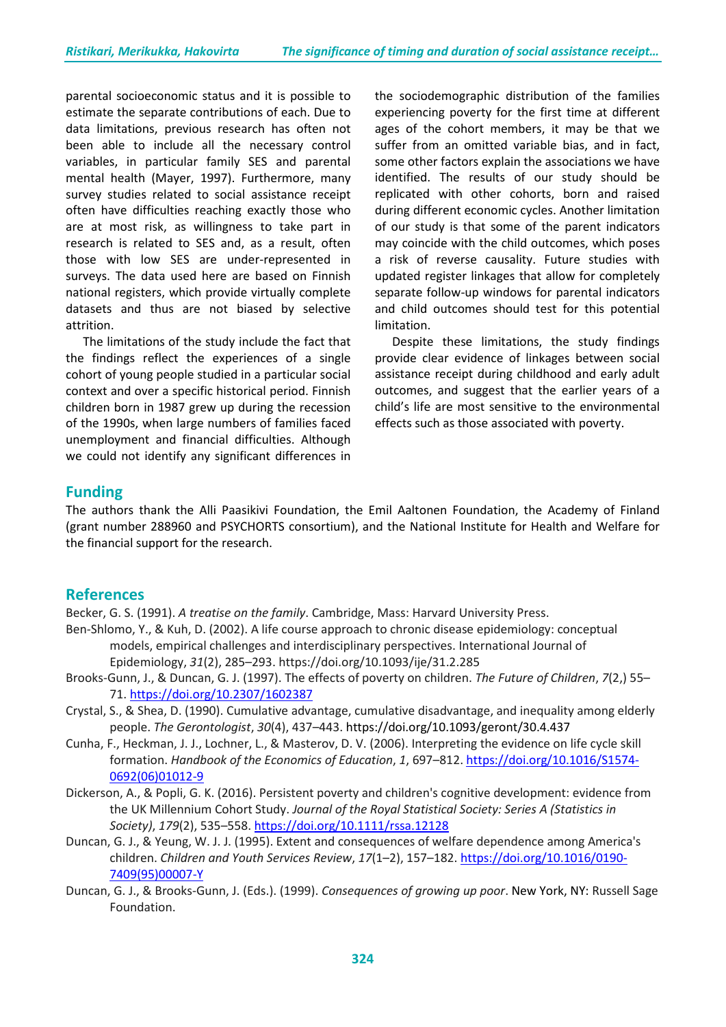parental socioeconomic status and it is possible to estimate the separate contributions of each. Due to data limitations, previous research has often not been able to include all the necessary control variables, in particular family SES and parental mental health (Mayer, 1997). Furthermore, many survey studies related to social assistance receipt often have difficulties reaching exactly those who are at most risk, as willingness to take part in research is related to SES and, as a result, often those with low SES are under-represented in surveys. The data used here are based on Finnish national registers, which provide virtually complete datasets and thus are not biased by selective attrition.

The limitations of the study include the fact that the findings reflect the experiences of a single cohort of young people studied in a particular social context and over a specific historical period. Finnish children born in 1987 grew up during the recession of the 1990s, when large numbers of families faced unemployment and financial difficulties. Although we could not identify any significant differences in

the sociodemographic distribution of the families experiencing poverty for the first time at different ages of the cohort members, it may be that we suffer from an omitted variable bias, and in fact, some other factors explain the associations we have identified. The results of our study should be replicated with other cohorts, born and raised during different economic cycles. Another limitation of our study is that some of the parent indicators may coincide with the child outcomes, which poses a risk of reverse causality. Future studies with updated register linkages that allow for completely separate follow-up windows for parental indicators and child outcomes should test for this potential limitation.

Despite these limitations, the study findings provide clear evidence of linkages between social assistance receipt during childhood and early adult outcomes, and suggest that the earlier years of a child's life are most sensitive to the environmental effects such as those associated with poverty.

## **Funding**

The authors thank the Alli Paasikivi Foundation, the Emil Aaltonen Foundation, the Academy of Finland (grant number 288960 and PSYCHORTS consortium), and the National Institute for Health and Welfare for the financial support for the research.

#### **References**

Becker, G. S. (1991). *A treatise on the family*. Cambridge, Mass: Harvard University Press.

- Ben-Shlomo, Y., & Kuh, D. (2002). A life course approach to chronic disease epidemiology: conceptual models, empirical challenges and interdisciplinary perspectives. International Journal of Epidemiology, *31*(2), 285–293[. https://doi.org/10.1093/ije/31.2.285](https://doi.org/10.1093/ije/31.2.285)
- Brooks-Gunn, J., & Duncan, G. J. (1997). The effects of poverty on children. *The Future of Children*, *7*(2,) 55– 71. <https://doi.org/10.2307/1602387>
- Crystal, S., & Shea, D. (1990). Cumulative advantage, cumulative disadvantage, and inequality among elderly people. *The Gerontologist*, *30*(4), 437–443. https://doi.org/10.1093/geront/30.4.437
- Cunha, F., Heckman, J. J., Lochner, L., & Masterov, D. V. (2006). Interpreting the evidence on life cycle skill formation. *Handbook of the Economics of Education*, *1*, 697–812. [https://doi.org/10.1016/S1574-](https://doi.org/10.1016/S1574-0692(06)01012-9) [0692\(06\)01012-9](https://doi.org/10.1016/S1574-0692(06)01012-9)
- Dickerson, A., & Popli, G. K. (2016). Persistent poverty and children's cognitive development: evidence from the UK Millennium Cohort Study. *Journal of the Royal Statistical Society: Series A (Statistics in Society)*, *179*(2), 535–558. <https://doi.org/10.1111/rssa.12128>
- Duncan, G. J., & Yeung, W. J. J. (1995). Extent and consequences of welfare dependence among America's children. *Children and Youth Services Review*, *17*(1–2), 157–182. [https://doi.org/10.1016/0190-](https://doi.org/10.1016/0190-7409(95)00007-Y) [7409\(95\)00007-Y](https://doi.org/10.1016/0190-7409(95)00007-Y)
- Duncan, G. J., & Brooks-Gunn, J. (Eds.). (1999). *Consequences of growing up poor*. New York, NY: Russell Sage Foundation.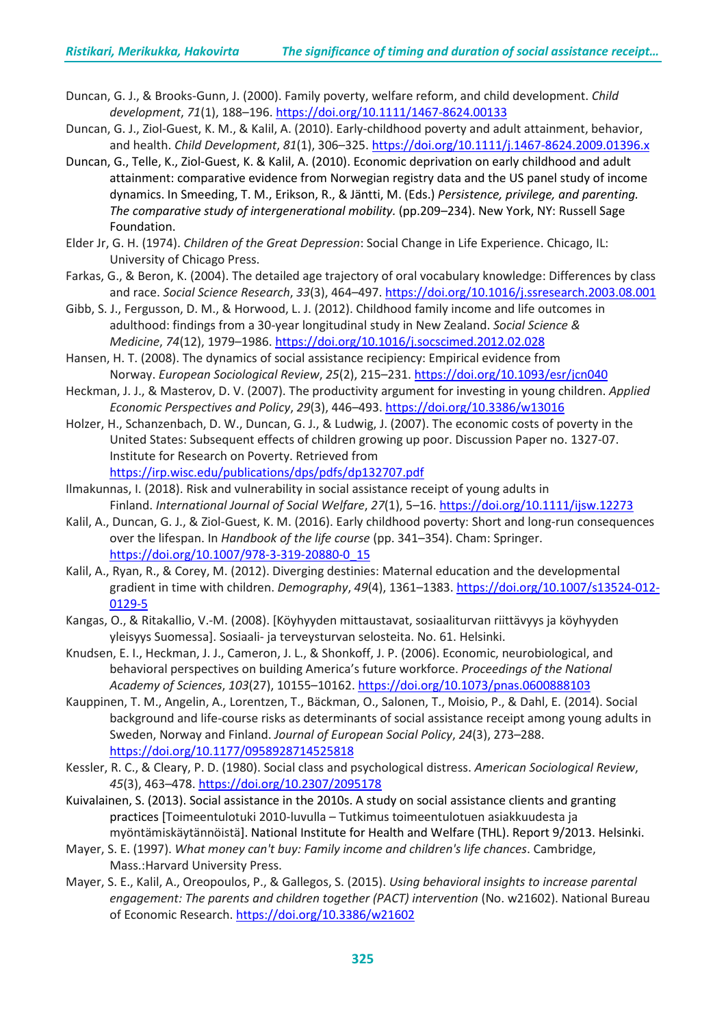- Duncan, G. J., & Brooks-Gunn, J. (2000). Family poverty, welfare reform, and child development. *Child development*, *71*(1), 188–196. <https://doi.org/10.1111/1467-8624.00133>
- Duncan, G. J., Ziol-Guest, K. M., & Kalil, A. (2010). Early-childhood poverty and adult attainment, behavior, and health. *Child Development*, *81*(1), 306–325. <https://doi.org/10.1111/j.1467-8624.2009.01396.x>
- Duncan, G., Telle, K., Ziol-Guest, K. & Kalil, A. (2010). Economic deprivation on early childhood and adult attainment: comparative evidence from Norwegian registry data and the US panel study of income dynamics. In Smeeding, T. M., Erikson, R., & Jäntti, M. (Eds.) *Persistence, privilege, and parenting. The comparative study of intergenerational mobility.* (pp.209–234). New York, NY: Russell Sage Foundation.
- Elder Jr, G. H. (1974). *Children of the Great Depression*: Social Change in Life Experience. Chicago, IL: University of Chicago Press.
- Farkas, G., & Beron, K. (2004). The detailed age trajectory of oral vocabulary knowledge: Differences by class and race. *Social Science Research*, *33*(3), 464–497. <https://doi.org/10.1016/j.ssresearch.2003.08.001>
- Gibb, S. J., Fergusson, D. M., & Horwood, L. J. (2012). Childhood family income and life outcomes in adulthood: findings from a 30-year longitudinal study in New Zealand. *Social Science & Medicine*, *74*(12), 1979–1986. <https://doi.org/10.1016/j.socscimed.2012.02.028>
- Hansen, H. T. (2008). The dynamics of social assistance recipiency: Empirical evidence from Norway. *European Sociological Review*, *25*(2), 215–231. <https://doi.org/10.1093/esr/jcn040>
- Heckman, J. J., & Masterov, D. V. (2007). The productivity argument for investing in young children. *Applied Economic Perspectives and Policy*, *29*(3), 446–493. <https://doi.org/10.3386/w13016>
- Holzer, H., Schanzenbach, D. W., Duncan, G. J., & Ludwig, J. (2007). The economic costs of poverty in the United States: Subsequent effects of children growing up poor. Discussion Paper no. 1327-07. Institute for Research on Poverty. Retrieved from <https://irp.wisc.edu/publications/dps/pdfs/dp132707.pdf>
- Ilmakunnas, I. (2018). Risk and vulnerability in social assistance receipt of young adults in Finland. *International Journal of Social Welfare*, *27*(1), 5–16. <https://doi.org/10.1111/ijsw.12273>
- Kalil, A., Duncan, G. J., & Ziol-Guest, K. M. (2016). Early childhood poverty: Short and long-run consequences over the lifespan. In *Handbook of the life course* (pp. 341–354). Cham: Springer. [https://doi.org/10.1007/978-3-319-20880-0\\_15](https://doi.org/10.1007/978-3-319-20880-0_15)
- Kalil, A., Ryan, R., & Corey, M. (2012). Diverging destinies: Maternal education and the developmental gradient in time with children. *Demography*, *49*(4), 1361–1383. [https://doi.org/10.1007/s13524-012-](https://doi.org/10.1007/s13524-012-0129-5) [0129-5](https://doi.org/10.1007/s13524-012-0129-5)
- Kangas, O., & Ritakallio, V.-M. (2008). [Köyhyyden mittaustavat, sosiaaliturvan riittävyys ja köyhyyden yleisyys Suomessa]. Sosiaali- ja terveysturvan selosteita. No. 61. Helsinki.
- Knudsen, E. I., Heckman, J. J., Cameron, J. L., & Shonkoff, J. P. (2006). Economic, neurobiological, and behavioral perspectives on building America's future workforce. *Proceedings of the National Academy of Sciences*, *103*(27), 10155–10162. <https://doi.org/10.1073/pnas.0600888103>
- Kauppinen, T. M., Angelin, A., Lorentzen, T., Bäckman, O., Salonen, T., Moisio, P., & Dahl, E. (2014). Social background and life-course risks as determinants of social assistance receipt among young adults in Sweden, Norway and Finland. *Journal of European Social Policy*, *24*(3), 273–288. <https://doi.org/10.1177/0958928714525818>
- Kessler, R. C., & Cleary, P. D. (1980). Social class and psychological distress. *American Sociological Review*, *45*(3), 463–478. <https://doi.org/10.2307/2095178>
- Kuivalainen, S. (2013). Social assistance in the 2010s. A study on social assistance clients and granting practices [Toimeentulotuki 2010-luvulla – Tutkimus toimeentulotuen asiakkuudesta ja myöntämiskäytännöistä]. National Institute for Health and Welfare (THL). Report 9/2013. Helsinki.
- Mayer, S. E. (1997). *What money can't buy: Family income and children's life chances*. Cambridge, Mass.:Harvard University Press.
- Mayer, S. E., Kalil, A., Oreopoulos, P., & Gallegos, S. (2015). *Using behavioral insights to increase parental engagement: The parents and children together (PACT) intervention* (No. w21602). National Bureau of Economic Research. <https://doi.org/10.3386/w21602>